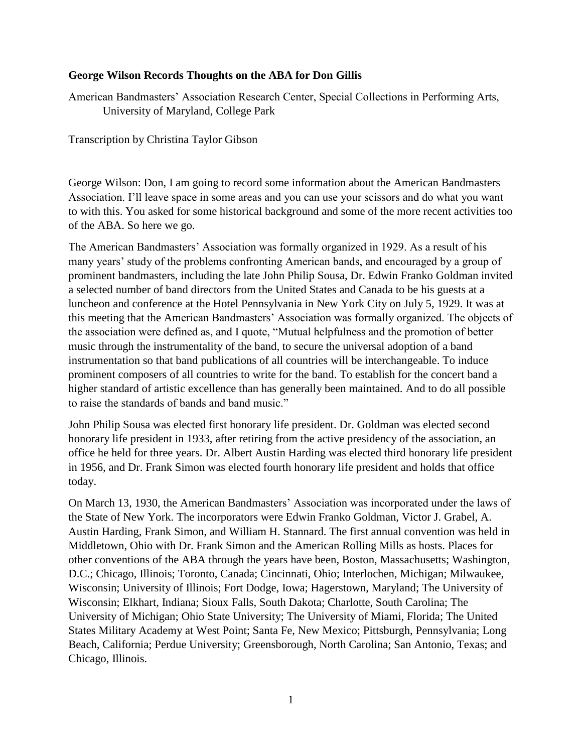## **George Wilson Records Thoughts on the ABA for Don Gillis**

American Bandmasters' Association Research Center, Special Collections in Performing Arts, University of Maryland, College Park

Transcription by Christina Taylor Gibson

George Wilson: Don, I am going to record some information about the American Bandmasters Association. I'll leave space in some areas and you can use your scissors and do what you want to with this. You asked for some historical background and some of the more recent activities too of the ABA. So here we go.

The American Bandmasters' Association was formally organized in 1929. As a result of his many years' study of the problems confronting American bands, and encouraged by a group of prominent bandmasters, including the late John Philip Sousa, Dr. Edwin Franko Goldman invited a selected number of band directors from the United States and Canada to be his guests at a luncheon and conference at the Hotel Pennsylvania in New York City on July 5, 1929. It was at this meeting that the American Bandmasters' Association was formally organized. The objects of the association were defined as, and I quote, "Mutual helpfulness and the promotion of better music through the instrumentality of the band, to secure the universal adoption of a band instrumentation so that band publications of all countries will be interchangeable. To induce prominent composers of all countries to write for the band. To establish for the concert band a higher standard of artistic excellence than has generally been maintained. And to do all possible to raise the standards of bands and band music."

John Philip Sousa was elected first honorary life president. Dr. Goldman was elected second honorary life president in 1933, after retiring from the active presidency of the association, an office he held for three years. Dr. Albert Austin Harding was elected third honorary life president in 1956, and Dr. Frank Simon was elected fourth honorary life president and holds that office today.

On March 13, 1930, the American Bandmasters' Association was incorporated under the laws of the State of New York. The incorporators were Edwin Franko Goldman, Victor J. Grabel, A. Austin Harding, Frank Simon, and William H. Stannard. The first annual convention was held in Middletown, Ohio with Dr. Frank Simon and the American Rolling Mills as hosts. Places for other conventions of the ABA through the years have been, Boston, Massachusetts; Washington, D.C.; Chicago, Illinois; Toronto, Canada; Cincinnati, Ohio; Interlochen, Michigan; Milwaukee, Wisconsin; University of Illinois; Fort Dodge, Iowa; Hagerstown, Maryland; The University of Wisconsin; Elkhart, Indiana; Sioux Falls, South Dakota; Charlotte, South Carolina; The University of Michigan; Ohio State University; The University of Miami, Florida; The United States Military Academy at West Point; Santa Fe, New Mexico; Pittsburgh, Pennsylvania; Long Beach, California; Perdue University; Greensborough, North Carolina; San Antonio, Texas; and Chicago, Illinois.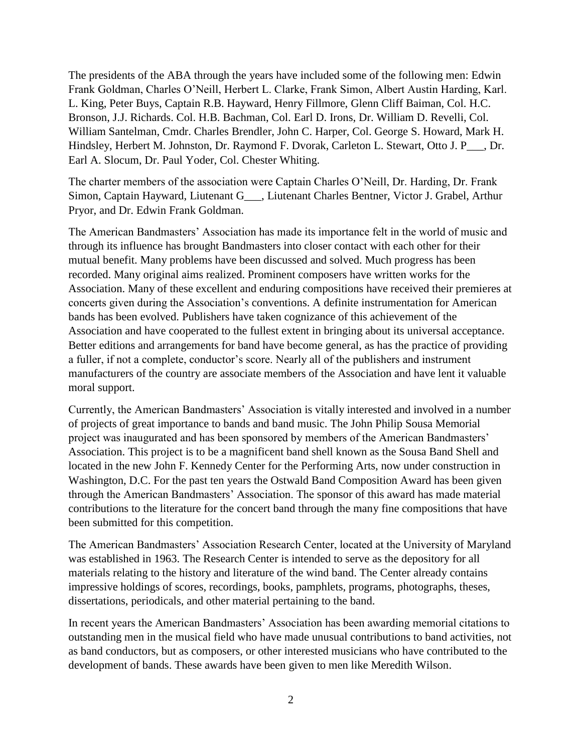The presidents of the ABA through the years have included some of the following men: Edwin Frank Goldman, Charles O'Neill, Herbert L. Clarke, Frank Simon, Albert Austin Harding, Karl. L. King, Peter Buys, Captain R.B. Hayward, Henry Fillmore, Glenn Cliff Baiman, Col. H.C. Bronson, J.J. Richards. Col. H.B. Bachman, Col. Earl D. Irons, Dr. William D. Revelli, Col. William Santelman, Cmdr. Charles Brendler, John C. Harper, Col. George S. Howard, Mark H. Hindsley, Herbert M. Johnston, Dr. Raymond F. Dvorak, Carleton L. Stewart, Otto J. P\_\_\_, Dr. Earl A. Slocum, Dr. Paul Yoder, Col. Chester Whiting.

The charter members of the association were Captain Charles O'Neill, Dr. Harding, Dr. Frank Simon, Captain Hayward, Liutenant G\_\_\_, Liutenant Charles Bentner, Victor J. Grabel, Arthur Pryor, and Dr. Edwin Frank Goldman.

The American Bandmasters' Association has made its importance felt in the world of music and through its influence has brought Bandmasters into closer contact with each other for their mutual benefit. Many problems have been discussed and solved. Much progress has been recorded. Many original aims realized. Prominent composers have written works for the Association. Many of these excellent and enduring compositions have received their premieres at concerts given during the Association's conventions. A definite instrumentation for American bands has been evolved. Publishers have taken cognizance of this achievement of the Association and have cooperated to the fullest extent in bringing about its universal acceptance. Better editions and arrangements for band have become general, as has the practice of providing a fuller, if not a complete, conductor's score. Nearly all of the publishers and instrument manufacturers of the country are associate members of the Association and have lent it valuable moral support.

Currently, the American Bandmasters' Association is vitally interested and involved in a number of projects of great importance to bands and band music. The John Philip Sousa Memorial project was inaugurated and has been sponsored by members of the American Bandmasters' Association. This project is to be a magnificent band shell known as the Sousa Band Shell and located in the new John F. Kennedy Center for the Performing Arts, now under construction in Washington, D.C. For the past ten years the Ostwald Band Composition Award has been given through the American Bandmasters' Association. The sponsor of this award has made material contributions to the literature for the concert band through the many fine compositions that have been submitted for this competition.

The American Bandmasters' Association Research Center, located at the University of Maryland was established in 1963. The Research Center is intended to serve as the depository for all materials relating to the history and literature of the wind band. The Center already contains impressive holdings of scores, recordings, books, pamphlets, programs, photographs, theses, dissertations, periodicals, and other material pertaining to the band.

In recent years the American Bandmasters' Association has been awarding memorial citations to outstanding men in the musical field who have made unusual contributions to band activities, not as band conductors, but as composers, or other interested musicians who have contributed to the development of bands. These awards have been given to men like Meredith Wilson.